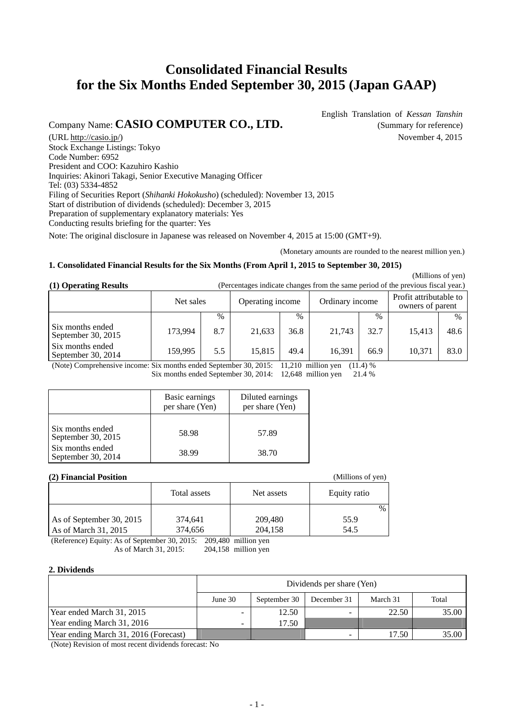# **Consolidated Financial Results for the Six Months Ended September 30, 2015 (Japan GAAP)**

## Company Name: **CASIO COMPUTER CO., LTD.** (Summary for reference)

English Translation of *Kessan Tanshin*

(URL [http://casio.jp/\)](http://casio.jp/) November 4, 2015 Stock Exchange Listings: Tokyo Code Number: 6952 President and COO: Kazuhiro Kashio Inquiries: Akinori Takagi, Senior Executive Managing Officer Tel: (03) 5334-4852 Filing of Securities Report (*Shihanki Hokokusho*) (scheduled): November 13, 2015 Start of distribution of dividends (scheduled): December 3, 2015 Preparation of supplementary explanatory materials: Yes Conducting results briefing for the quarter: Yes

Note: The original disclosure in Japanese was released on November 4, 2015 at 15:00 (GMT+9).

(Monetary amounts are rounded to the nearest million yen.)

### **1. Consolidated Financial Results for the Six Months (From April 1, 2015 to September 30, 2015)**

(Millions of yen)

| (1) Operating Results | (Percentages indicate changes from the same period of the previous fiscal year.) |  |  |
|-----------------------|----------------------------------------------------------------------------------|--|--|
|-----------------------|----------------------------------------------------------------------------------|--|--|

|                                        | Net sales |               | Operating income |               | Ordinary income |      | Profit attributable to<br>owners of parent |      |
|----------------------------------------|-----------|---------------|------------------|---------------|-----------------|------|--------------------------------------------|------|
|                                        |           | $\frac{0}{0}$ |                  | $\frac{0}{0}$ |                 | $\%$ |                                            | $\%$ |
| Six months ended<br>September 30, 2015 | 173,994   | 8.7           | 21,633           | 36.8          | 21,743          | 32.7 | 15,413                                     | 48.6 |
| Six months ended<br>September 30, 2014 | 159.995   | 5.5           | 15.815           | 49.4          | 16.391          | 66.9 | 10.371                                     | 83.0 |

(Note) Comprehensive income: Six months ended September 30, 2015: 11,210 million yen (11.4) % Six months ended September 30, 2014: 12,648 million yen 21.4 %

|                                        | Basic earnings<br>per share (Yen) | Diluted earnings<br>per share (Yen) |
|----------------------------------------|-----------------------------------|-------------------------------------|
| Six months ended<br>September 30, 2015 | 58.98                             | 57.89                               |
| Six months ended<br>September 30, 2014 | 38.99                             | 38.70                               |

#### **(2) Financial Position** (Millions of yen)

| $\epsilon$ and $\epsilon$ and $\epsilon$ and $\epsilon$ and $\epsilon$ and $\epsilon$ and $\epsilon$ and $\epsilon$ and $\epsilon$ and $\epsilon$ and $\epsilon$ and $\epsilon$ and $\epsilon$ and $\epsilon$ and $\epsilon$ and $\epsilon$ and $\epsilon$ and $\epsilon$ and $\epsilon$ and $\epsilon$ and $\epsilon$ and $\epsilon$ and $\epsilon$ and $\epsilon$ and $\epsilon$ |              |            |               |  |  |  |
|------------------------------------------------------------------------------------------------------------------------------------------------------------------------------------------------------------------------------------------------------------------------------------------------------------------------------------------------------------------------------------|--------------|------------|---------------|--|--|--|
|                                                                                                                                                                                                                                                                                                                                                                                    | Total assets | Net assets | Equity ratio  |  |  |  |
|                                                                                                                                                                                                                                                                                                                                                                                    |              |            | $\frac{0}{0}$ |  |  |  |
| As of September 30, 2015                                                                                                                                                                                                                                                                                                                                                           | 374,641      | 209,480    | 55.9          |  |  |  |
| As of March 31, 2015                                                                                                                                                                                                                                                                                                                                                               | 374,656      | 204,158    | 54.5          |  |  |  |

(Reference) Equity: As of September 30, 2015: 209,480 million yen As of March 31, 2015: 204,158 million yen

#### **2. Dividends**

|                                       | Dividends per share (Yen) |              |             |          |       |  |
|---------------------------------------|---------------------------|--------------|-------------|----------|-------|--|
|                                       | June $301$                | September 30 | December 31 | March 31 | Total |  |
| Year ended March 31, 2015             |                           | 12.50        |             | 22.50    | 35.00 |  |
| Year ending March 31, 2016            | -                         | 17.50        |             |          |       |  |
| Year ending March 31, 2016 (Forecast) |                           |              |             | 17.50    | 35.00 |  |

(Note) Revision of most recent dividends forecast: No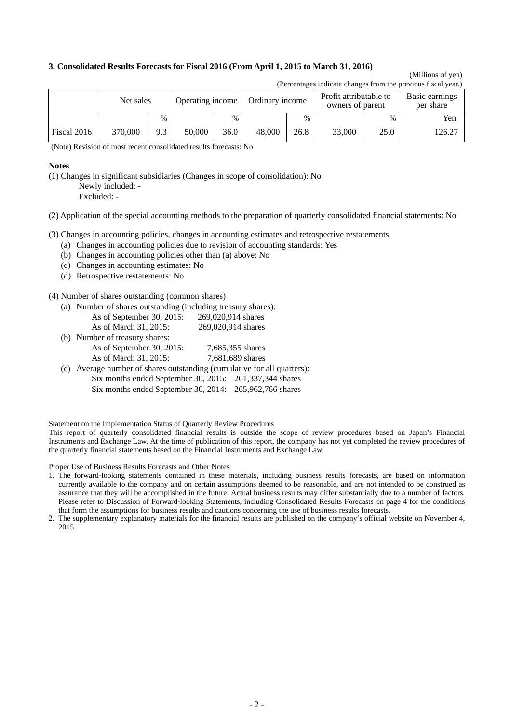#### **3. Consolidated Results Forecasts for Fiscal 2016 (From April 1, 2015 to March 31, 2016)**

#### (Millions of yen) (Percentages indicate changes from the previous fiscal year.)

|             | (Felcentages muicate changes from the previous fiscal year.) |      |                  |      |                 |      |                                            |      |                             |
|-------------|--------------------------------------------------------------|------|------------------|------|-----------------|------|--------------------------------------------|------|-----------------------------|
|             | Net sales                                                    |      | Operating income |      | Ordinary income |      | Profit attributable to<br>owners of parent |      | Basic earnings<br>per share |
|             |                                                              | $\%$ |                  | $\%$ |                 | $\%$ |                                            | $\%$ | Yen                         |
| Fiscal 2016 | 370,000                                                      | 9.3  | 50,000           | 36.0 | 48,000          | 26.8 | 33,000                                     | 25.0 | 126.27                      |

(Note) Revision of most recent consolidated results forecasts: No

#### **Notes**

(1) Changes in significant subsidiaries (Changes in scope of consolidation): No Newly included: -

Excluded: -

(2) Application of the special accounting methods to the preparation of quarterly consolidated financial statements: No

(3) Changes in accounting policies, changes in accounting estimates and retrospective restatements

- (a) Changes in accounting policies due to revision of accounting standards: Yes
- (b) Changes in accounting policies other than (a) above: No
- (c) Changes in accounting estimates: No
- (d) Retrospective restatements: No

(4) Number of shares outstanding (common shares)

(a) Number of shares outstanding (including treasury shares):

| As of September 30, 2015: | 269,020,914 shares |
|---------------------------|--------------------|
| As of March 31, 2015:     | 269,020,914 shares |

| (b) Number of treasury shares:                                                  |                  |
|---------------------------------------------------------------------------------|------------------|
| As of September 30, 2015:                                                       | 7,685,355 shares |
| As of March 31, 2015:                                                           | 7,681,689 shares |
| $\ell$ . A consider the set of the set of the set of $\ell$ . The set of $\ell$ |                  |

(c) Average number of shares outstanding (cumulative for all quarters): Six months ended September 30, 2015: 261,337,344 shares Six months ended September 30, 2014: 265,962,766 shares

Statement on the Implementation Status of Quarterly Review Procedures

This report of quarterly consolidated financial results is outside the scope of review procedures based on Japan's Financial Instruments and Exchange Law. At the time of publication of this report, the company has not yet completed the review procedures of the quarterly financial statements based on the Financial Instruments and Exchange Law.

Proper Use of Business Results Forecasts and Other Notes

<sup>1.</sup> The forward-looking statements contained in these materials, including business results forecasts, are based on information currently available to the company and on certain assumptions deemed to be reasonable, and are not intended to be construed as assurance that they will be accomplished in the future. Actual business results may differ substantially due to a number of factors. Please refer to Discussion of Forward-looking Statements, including Consolidated Results Forecasts on page 4 for the conditions that form the assumptions for business results and cautions concerning the use of business results forecasts.

<sup>2.</sup> The supplementary explanatory materials for the financial results are published on the company's official website on November 4, 2015.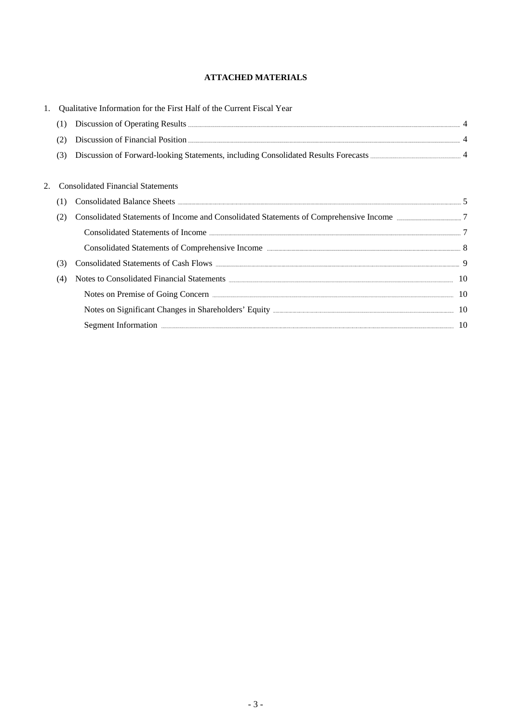## **ATTACHED MATERIALS**

| 1. |     | Qualitative Information for the First Half of the Current Fiscal Year                                                                                                                                                                              |  |
|----|-----|----------------------------------------------------------------------------------------------------------------------------------------------------------------------------------------------------------------------------------------------------|--|
|    | (1) |                                                                                                                                                                                                                                                    |  |
|    | (2) |                                                                                                                                                                                                                                                    |  |
|    | (3) |                                                                                                                                                                                                                                                    |  |
|    |     | <b>Consolidated Financial Statements</b>                                                                                                                                                                                                           |  |
|    |     |                                                                                                                                                                                                                                                    |  |
|    | (2) |                                                                                                                                                                                                                                                    |  |
|    |     |                                                                                                                                                                                                                                                    |  |
|    |     |                                                                                                                                                                                                                                                    |  |
|    | (3) |                                                                                                                                                                                                                                                    |  |
|    | (4) | Notes to Consolidated Financial Statements <b>Exercise Consolidated</b> Financial Statements <b>Exercise Consolidated</b> Financial Statements <b>Exercise Consolidated</b> Financial Statements <b>Exercise Consolidated</b> Financial Statements |  |
|    |     | Notes on Premise of Going Concern <b>Exercise Content Concern 2018</b> 10                                                                                                                                                                          |  |
|    |     |                                                                                                                                                                                                                                                    |  |
|    |     | Segment Information <b>Execution</b> 2010 10                                                                                                                                                                                                       |  |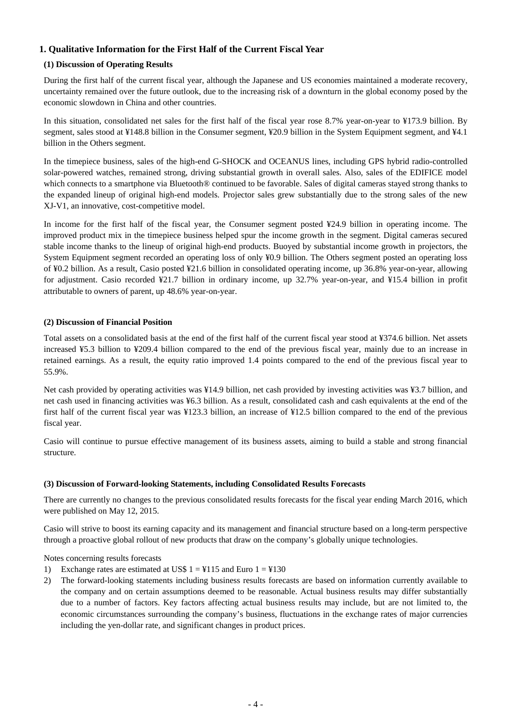## **1. Qualitative Information for the First Half of the Current Fiscal Year**

### **(1) Discussion of Operating Results**

During the first half of the current fiscal year, although the Japanese and US economies maintained a moderate recovery, uncertainty remained over the future outlook, due to the increasing risk of a downturn in the global economy posed by the economic slowdown in China and other countries.

In this situation, consolidated net sales for the first half of the fiscal year rose 8.7% year-on-year to ¥173.9 billion. By segment, sales stood at ¥148.8 billion in the Consumer segment, ¥20.9 billion in the System Equipment segment, and ¥4.1 billion in the Others segment.

In the timepiece business, sales of the high-end G-SHOCK and OCEANUS lines, including GPS hybrid radio-controlled solar-powered watches, remained strong, driving substantial growth in overall sales. Also, sales of the EDIFICE model which connects to a smartphone via Bluetooth® continued to be favorable. Sales of digital cameras stayed strong thanks to the expanded lineup of original high-end models. Projector sales grew substantially due to the strong sales of the new XJ-V1, an innovative, cost-competitive model.

In income for the first half of the fiscal year, the Consumer segment posted ¥24.9 billion in operating income. The improved product mix in the timepiece business helped spur the income growth in the segment. Digital cameras secured stable income thanks to the lineup of original high-end products. Buoyed by substantial income growth in projectors, the System Equipment segment recorded an operating loss of only ¥0.9 billion. The Others segment posted an operating loss of ¥0.2 billion. As a result, Casio posted ¥21.6 billion in consolidated operating income, up 36.8% year-on-year, allowing for adjustment. Casio recorded ¥21.7 billion in ordinary income, up 32.7% year-on-year, and ¥15.4 billion in profit attributable to owners of parent, up 48.6% year-on-year.

### **(2) Discussion of Financial Position**

Total assets on a consolidated basis at the end of the first half of the current fiscal year stood at ¥374.6 billion. Net assets increased ¥5.3 billion to ¥209.4 billion compared to the end of the previous fiscal year, mainly due to an increase in retained earnings. As a result, the equity ratio improved 1.4 points compared to the end of the previous fiscal year to 55.9%.

Net cash provided by operating activities was ¥14.9 billion, net cash provided by investing activities was ¥3.7 billion, and net cash used in financing activities was ¥6.3 billion. As a result, consolidated cash and cash equivalents at the end of the first half of the current fiscal year was ¥123.3 billion, an increase of ¥12.5 billion compared to the end of the previous fiscal year.

Casio will continue to pursue effective management of its business assets, aiming to build a stable and strong financial structure.

#### **(3) Discussion of Forward-looking Statements, including Consolidated Results Forecasts**

There are currently no changes to the previous consolidated results forecasts for the fiscal year ending March 2016, which were published on May 12, 2015.

Casio will strive to boost its earning capacity and its management and financial structure based on a long-term perspective through a proactive global rollout of new products that draw on the company's globally unique technologies.

Notes concerning results forecasts

- 1) Exchange rates are estimated at US\$  $1 = 4115$  and Euro  $1 = 4130$
- 2) The forward-looking statements including business results forecasts are based on information currently available to the company and on certain assumptions deemed to be reasonable. Actual business results may differ substantially due to a number of factors. Key factors affecting actual business results may include, but are not limited to, the economic circumstances surrounding the company's business, fluctuations in the exchange rates of major currencies including the yen-dollar rate, and significant changes in product prices.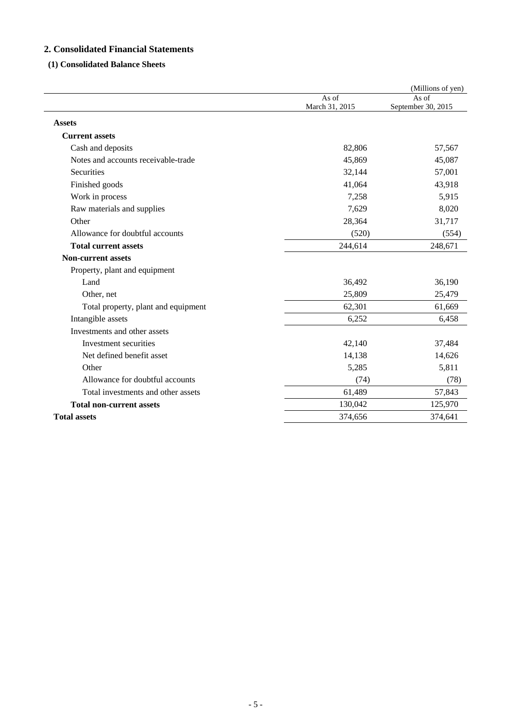## **2. Consolidated Financial Statements**

## **(1) Consolidated Balance Sheets**

|                                     |                         | (Millions of yen)           |
|-------------------------------------|-------------------------|-----------------------------|
|                                     | As of<br>March 31, 2015 | As of<br>September 30, 2015 |
| <b>Assets</b>                       |                         |                             |
| <b>Current assets</b>               |                         |                             |
| Cash and deposits                   | 82,806                  | 57,567                      |
| Notes and accounts receivable-trade | 45,869                  | 45,087                      |
| Securities                          | 32,144                  | 57,001                      |
| Finished goods                      | 41,064                  | 43,918                      |
| Work in process                     | 7,258                   | 5,915                       |
| Raw materials and supplies          | 7,629                   | 8,020                       |
| Other                               | 28,364                  | 31,717                      |
| Allowance for doubtful accounts     | (520)                   | (554)                       |
| <b>Total current assets</b>         | 244,614                 | 248,671                     |
| <b>Non-current assets</b>           |                         |                             |
| Property, plant and equipment       |                         |                             |
| Land                                | 36,492                  | 36,190                      |
| Other, net                          | 25,809                  | 25,479                      |
| Total property, plant and equipment | 62,301                  | 61,669                      |
| Intangible assets                   | 6,252                   | 6,458                       |
| Investments and other assets        |                         |                             |
| Investment securities               | 42,140                  | 37,484                      |
| Net defined benefit asset           | 14,138                  | 14,626                      |
| Other                               | 5,285                   | 5,811                       |
| Allowance for doubtful accounts     | (74)                    | (78)                        |
| Total investments and other assets  | 61,489                  | 57,843                      |
| <b>Total non-current assets</b>     | 130,042                 | 125,970                     |
| <b>Total assets</b>                 | 374,656                 | 374,641                     |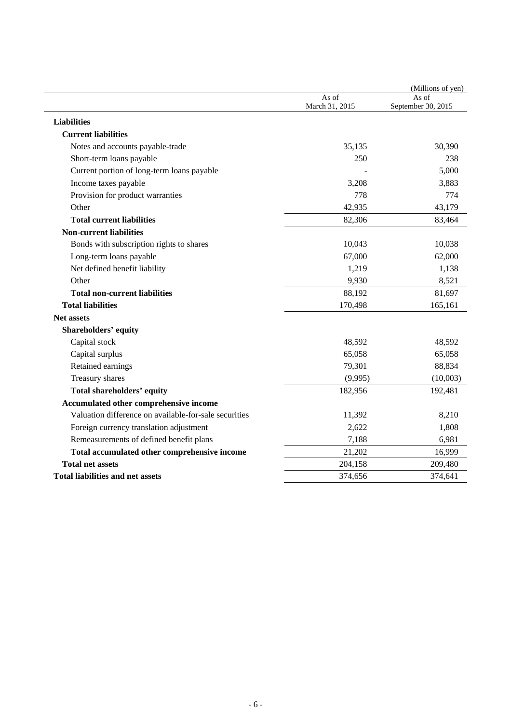|                                                       |                         | (Millions of yen)           |
|-------------------------------------------------------|-------------------------|-----------------------------|
|                                                       | As of<br>March 31, 2015 | As of<br>September 30, 2015 |
| <b>Liabilities</b>                                    |                         |                             |
| <b>Current liabilities</b>                            |                         |                             |
| Notes and accounts payable-trade                      | 35,135                  | 30,390                      |
| Short-term loans payable                              | 250                     | 238                         |
| Current portion of long-term loans payable            |                         | 5,000                       |
| Income taxes payable                                  | 3,208                   | 3,883                       |
| Provision for product warranties                      | 778                     | 774                         |
| Other                                                 | 42,935                  | 43,179                      |
| <b>Total current liabilities</b>                      | 82,306                  | 83,464                      |
| <b>Non-current liabilities</b>                        |                         |                             |
| Bonds with subscription rights to shares              | 10,043                  | 10,038                      |
| Long-term loans payable                               | 67,000                  | 62,000                      |
| Net defined benefit liability                         | 1,219                   | 1,138                       |
| Other                                                 | 9,930                   | 8,521                       |
| <b>Total non-current liabilities</b>                  | 88,192                  | 81,697                      |
| <b>Total liabilities</b>                              | 170,498                 | 165,161                     |
| <b>Net assets</b>                                     |                         |                             |
| <b>Shareholders' equity</b>                           |                         |                             |
| Capital stock                                         | 48,592                  | 48,592                      |
| Capital surplus                                       | 65,058                  | 65,058                      |
| Retained earnings                                     | 79,301                  | 88,834                      |
| Treasury shares                                       | (9,995)                 | (10,003)                    |
| <b>Total shareholders' equity</b>                     | 182,956                 | 192,481                     |
| Accumulated other comprehensive income                |                         |                             |
| Valuation difference on available-for-sale securities | 11,392                  | 8,210                       |
| Foreign currency translation adjustment               | 2,622                   | 1,808                       |
| Remeasurements of defined benefit plans               | 7,188                   | 6,981                       |
| Total accumulated other comprehensive income          | 21,202                  | 16,999                      |
| <b>Total net assets</b>                               | 204,158                 | 209,480                     |
| <b>Total liabilities and net assets</b>               | 374,656                 | 374,641                     |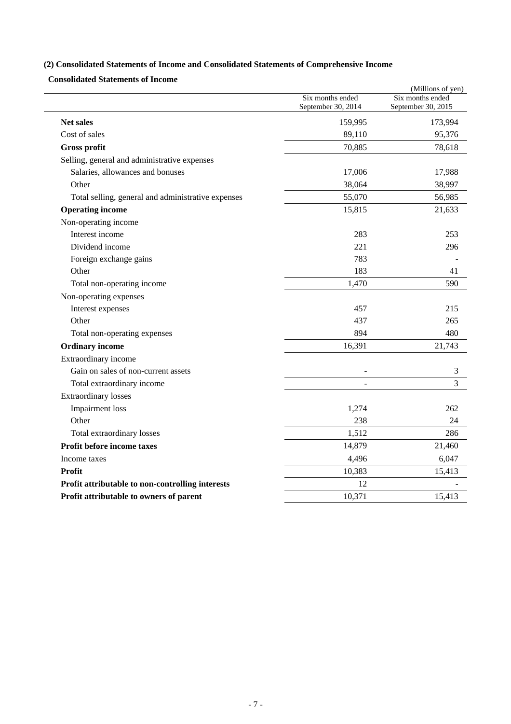## **(2) Consolidated Statements of Income and Consolidated Statements of Comprehensive Income**

**Consolidated Statements of Income** 

|                                                    |                                        | (Millions of yen)                      |
|----------------------------------------------------|----------------------------------------|----------------------------------------|
|                                                    | Six months ended<br>September 30, 2014 | Six months ended<br>September 30, 2015 |
| Net sales                                          | 159,995                                | 173,994                                |
| Cost of sales                                      | 89,110                                 | 95,376                                 |
| <b>Gross profit</b>                                | 70,885                                 | 78,618                                 |
| Selling, general and administrative expenses       |                                        |                                        |
| Salaries, allowances and bonuses                   | 17,006                                 | 17,988                                 |
| Other                                              | 38,064                                 | 38,997                                 |
| Total selling, general and administrative expenses | 55,070                                 | 56,985                                 |
| <b>Operating income</b>                            | 15,815                                 | 21,633                                 |
| Non-operating income                               |                                        |                                        |
| Interest income                                    | 283                                    | 253                                    |
| Dividend income                                    | 221                                    | 296                                    |
| Foreign exchange gains                             | 783                                    |                                        |
| Other                                              | 183                                    | 41                                     |
| Total non-operating income                         | 1,470                                  | 590                                    |
| Non-operating expenses                             |                                        |                                        |
| Interest expenses                                  | 457                                    | 215                                    |
| Other                                              | 437                                    | 265                                    |
| Total non-operating expenses                       | 894                                    | 480                                    |
| <b>Ordinary income</b>                             | 16,391                                 | 21,743                                 |
| Extraordinary income                               |                                        |                                        |
| Gain on sales of non-current assets                |                                        | 3                                      |
| Total extraordinary income                         |                                        | $\overline{3}$                         |
| <b>Extraordinary losses</b>                        |                                        |                                        |
| Impairment loss                                    | 1,274                                  | 262                                    |
| Other                                              | 238                                    | 24                                     |
| Total extraordinary losses                         | 1,512                                  | 286                                    |
| Profit before income taxes                         | 14,879                                 | 21,460                                 |
| Income taxes                                       | 4,496                                  | 6,047                                  |
| Profit                                             | 10,383                                 | 15,413                                 |
| Profit attributable to non-controlling interests   | 12                                     |                                        |
| Profit attributable to owners of parent            | 10,371                                 | 15,413                                 |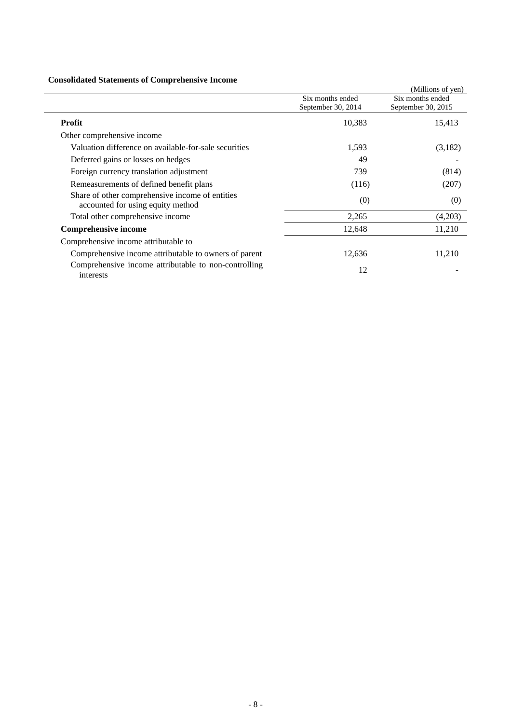## **Consolidated Statements of Comprehensive Income**

|                                                                                      |                                        | (Millions of yen)                      |
|--------------------------------------------------------------------------------------|----------------------------------------|----------------------------------------|
|                                                                                      | Six months ended<br>September 30, 2014 | Six months ended<br>September 30, 2015 |
| <b>Profit</b>                                                                        | 10,383                                 | 15,413                                 |
| Other comprehensive income                                                           |                                        |                                        |
| Valuation difference on available-for-sale securities                                | 1,593                                  | (3,182)                                |
| Deferred gains or losses on hedges                                                   | 49                                     |                                        |
| Foreign currency translation adjustment                                              | 739                                    | (814)                                  |
| Remeasurements of defined benefit plans                                              | (116)                                  | (207)                                  |
| Share of other comprehensive income of entities<br>accounted for using equity method | (0)                                    | (0)                                    |
| Total other comprehensive income                                                     | 2,265                                  | (4,203)                                |
| <b>Comprehensive income</b>                                                          | 12,648                                 | 11,210                                 |
| Comprehensive income attributable to                                                 |                                        |                                        |
| Comprehensive income attributable to owners of parent                                | 12,636                                 | 11,210                                 |
| Comprehensive income attributable to non-controlling<br>interests                    | 12                                     |                                        |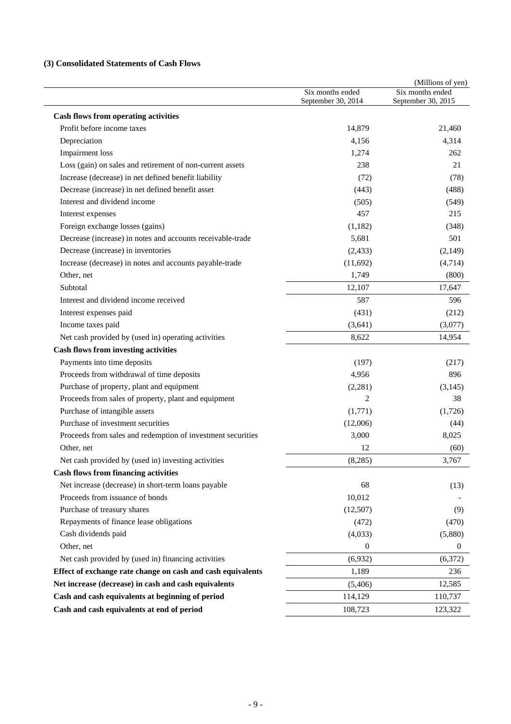## **(3) Consolidated Statements of Cash Flows**

|                                                             | Six months ended<br>September 30, 2014 | (Millions of yen)<br>Six months ended<br>September 30, 2015 |
|-------------------------------------------------------------|----------------------------------------|-------------------------------------------------------------|
| <b>Cash flows from operating activities</b>                 |                                        |                                                             |
| Profit before income taxes                                  | 14,879                                 | 21,460                                                      |
| Depreciation                                                | 4,156                                  | 4,314                                                       |
| <b>Impairment</b> loss                                      | 1,274                                  | 262                                                         |
| Loss (gain) on sales and retirement of non-current assets   | 238                                    | 21                                                          |
| Increase (decrease) in net defined benefit liability        | (72)                                   | (78)                                                        |
| Decrease (increase) in net defined benefit asset            | (443)                                  | (488)                                                       |
| Interest and dividend income                                | (505)                                  | (549)                                                       |
| Interest expenses                                           | 457                                    | 215                                                         |
| Foreign exchange losses (gains)                             | (1,182)                                | (348)                                                       |
| Decrease (increase) in notes and accounts receivable-trade  | 5,681                                  | 501                                                         |
| Decrease (increase) in inventories                          | (2, 433)                               | (2,149)                                                     |
| Increase (decrease) in notes and accounts payable-trade     | (11,692)                               | (4,714)                                                     |
| Other, net                                                  | 1,749                                  | (800)                                                       |
| Subtotal                                                    | 12,107                                 | 17,647                                                      |
| Interest and dividend income received                       | 587                                    | 596                                                         |
| Interest expenses paid                                      | (431)                                  | (212)                                                       |
| Income taxes paid                                           | (3,641)                                | (3,077)                                                     |
| Net cash provided by (used in) operating activities         | 8,622                                  | 14,954                                                      |
| <b>Cash flows from investing activities</b>                 |                                        |                                                             |
| Payments into time deposits                                 | (197)                                  | (217)                                                       |
| Proceeds from withdrawal of time deposits                   | 4,956                                  | 896                                                         |
| Purchase of property, plant and equipment                   | (2,281)                                | (3,145)                                                     |
| Proceeds from sales of property, plant and equipment        | $\overline{2}$                         | 38                                                          |
| Purchase of intangible assets                               | (1,771)                                | (1,726)                                                     |
| Purchase of investment securities                           | (12,006)                               | (44)                                                        |
| Proceeds from sales and redemption of investment securities | 3,000                                  | 8,025                                                       |
| Other, net                                                  | 12                                     | (60)                                                        |
| Net cash provided by (used in) investing activities         | (8,285)                                | 3,767                                                       |
| <b>Cash flows from financing activities</b>                 |                                        |                                                             |
| Net increase (decrease) in short-term loans payable         | 68                                     | (13)                                                        |
| Proceeds from issuance of bonds                             | 10,012                                 |                                                             |
| Purchase of treasury shares                                 | (12,507)                               | (9)                                                         |
| Repayments of finance lease obligations                     | (472)                                  | (470)                                                       |
| Cash dividends paid                                         | (4,033)                                | (5,880)                                                     |
| Other, net                                                  | $\mathbf{0}$                           | $\boldsymbol{0}$                                            |
| Net cash provided by (used in) financing activities         | (6,932)                                | (6,372)                                                     |
| Effect of exchange rate change on cash and cash equivalents | 1,189                                  | 236                                                         |
| Net increase (decrease) in cash and cash equivalents        | (5,406)                                | 12,585                                                      |
| Cash and cash equivalents at beginning of period            | 114,129                                | 110,737                                                     |
| Cash and cash equivalents at end of period                  | 108,723                                | 123,322                                                     |